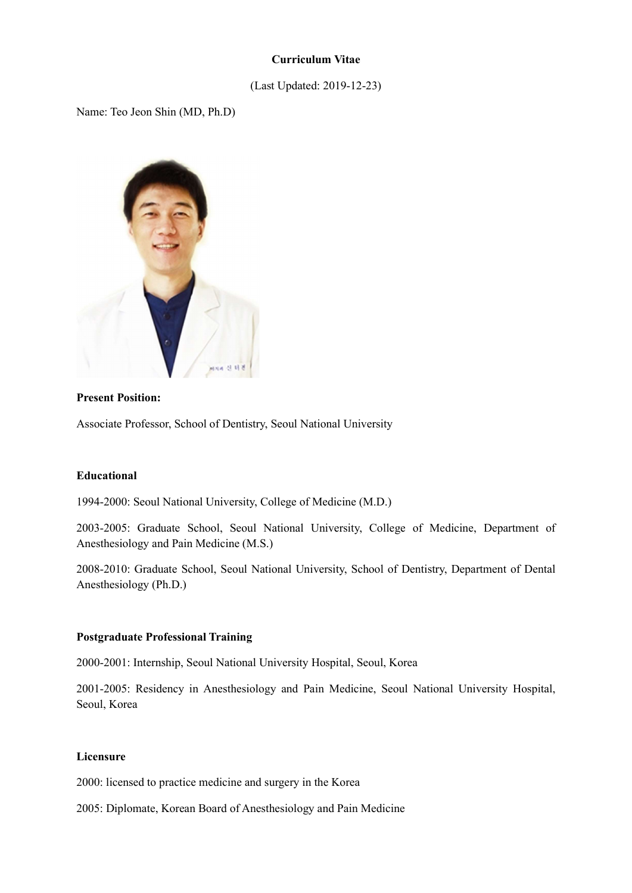# Curriculum Vitae

# (Last Updated: 2019-12-23)

Name: Teo Jeon Shin (MD, Ph.D)



## Present Position:

Associate Professor, School of Dentistry, Seoul National University

## Educational

1994-2000: Seoul National University, College of Medicine (M.D.)

2003-2005: Graduate School, Seoul National University, College of Medicine, Department of Anesthesiology and Pain Medicine (M.S.)

2008-2010: Graduate School, Seoul National University, School of Dentistry, Department of Dental Anesthesiology (Ph.D.)

## Postgraduate Professional Training

2000-2001: Internship, Seoul National University Hospital, Seoul, Korea

2001-2005: Residency in Anesthesiology and Pain Medicine, Seoul National University Hospital, Seoul, Korea

#### Licensure

2000: licensed to practice medicine and surgery in the Korea

2005: Diplomate, Korean Board of Anesthesiology and Pain Medicine